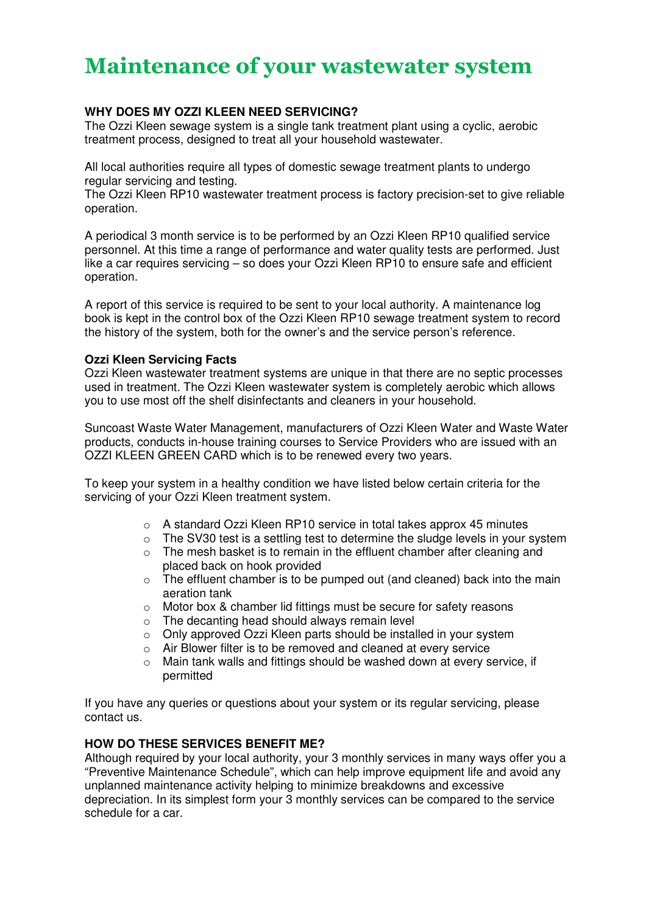# Maintenance of your wastewater system

## **WHY DOES MY OZZI KLEEN NEED SERVICING?**

The Ozzi Kleen sewage system is a single tank treatment plant using a cyclic, aerobic treatment process, designed to treat all your household wastewater.

All local authorities require all types of domestic sewage treatment plants to undergo regular servicing and testing.

The Ozzi Kleen RP10 wastewater treatment process is factory precision-set to give reliable operation.

A periodical 3 month service is to be performed by an Ozzi Kleen RP10 qualified service personnel. At this time a range of performance and water quality tests are performed. Just like a car requires servicing – so does your Ozzi Kleen RP10 to ensure safe and efficient operation.

A report of this service is required to be sent to your local authority. A maintenance log book is kept in the control box of the Ozzi Kleen RP10 sewage treatment system to record the history of the system, both for the owner's and the service person's reference.

#### **Ozzi Kleen Servicing Facts**

Ozzi Kleen wastewater treatment systems are unique in that there are no septic processes used in treatment. The Ozzi Kleen wastewater system is completely aerobic which allows you to use most off the shelf disinfectants and cleaners in your household.

Suncoast Waste Water Management, manufacturers of Ozzi Kleen Water and Waste Water products, conducts in-house training courses to Service Providers who are issued with an OZZI KLEEN GREEN CARD which is to be renewed every two years.

To keep your system in a healthy condition we have listed below certain criteria for the servicing of your Ozzi Kleen treatment system.

- $\circ$  A standard Ozzi Kleen RP10 service in total takes approx 45 minutes
- o The SV30 test is a settling test to determine the sludge levels in your system
- o The mesh basket is to remain in the effluent chamber after cleaning and placed back on hook provided
- $\circ$  The effluent chamber is to be pumped out (and cleaned) back into the main aeration tank
- o Motor box & chamber lid fittings must be secure for safety reasons
- o The decanting head should always remain level
- o Only approved Ozzi Kleen parts should be installed in your system
- o Air Blower filter is to be removed and cleaned at every service
- $\circ$  Main tank walls and fittings should be washed down at every service, if permitted

If you have any queries or questions about your system or its regular servicing, please contact us.

### **HOW DO THESE SERVICES BENEFIT ME?**

Although required by your local authority, your 3 monthly services in many ways offer you a "Preventive Maintenance Schedule", which can help improve equipment life and avoid any unplanned maintenance activity helping to minimize breakdowns and excessive depreciation. In its simplest form your 3 monthly services can be compared to the service schedule for a car.